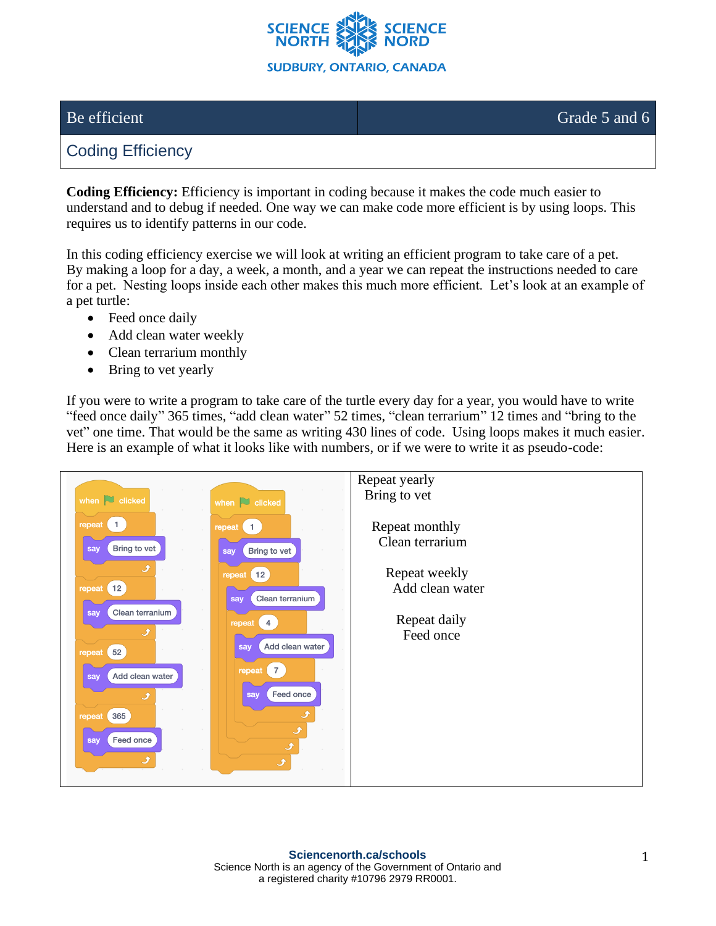

## Be efficient Grade 5 and 6

## Coding Efficiency

**Coding Efficiency:** Efficiency is important in coding because it makes the code much easier to understand and to debug if needed. One way we can make code more efficient is by using loops. This requires us to identify patterns in our code.

In this coding efficiency exercise we will look at writing an efficient program to take care of a pet. By making a loop for a day, a week, a month, and a year we can repeat the instructions needed to care for a pet. Nesting loops inside each other makes this much more efficient. Let's look at an example of a pet turtle:

- Feed once daily
- Add clean water weekly
- Clean terrarium monthly
- Bring to vet yearly

If you were to write a program to take care of the turtle every day for a year, you would have to write "feed once daily" 365 times, "add clean water" 52 times, "clean terrarium" 12 times and "bring to the vet" one time. That would be the same as writing 430 lines of code. Using loops makes it much easier. Here is an example of what it looks like with numbers, or if we were to write it as pseudo-code: